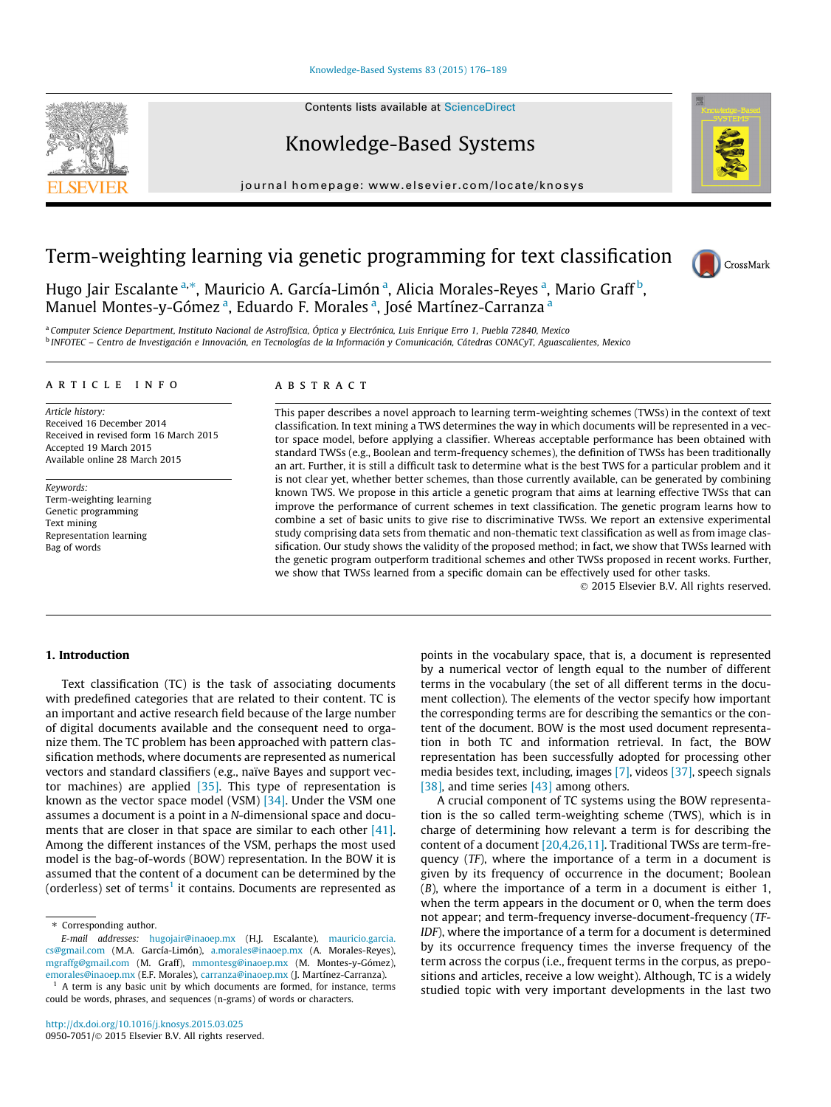#### [Knowledge-Based Systems 83 \(2015\) 176–189](http://dx.doi.org/10.1016/j.knosys.2015.03.025)

Contents lists available at [ScienceDirect](http://www.sciencedirect.com/science/journal/09507051)

## Knowledge-Based Systems

journal homepage: [www.elsevier.com/locate/knosys](http://www.elsevier.com/locate/knosys)

# Term-weighting learning via genetic programming for text classification



Hugo Jair Escalante <sup>a,</sup>\*, Mauricio A. García-Limón <sup>a</sup>, Alicia Morales-Reyes <sup>a</sup>, Mario Graff<sup>b</sup>, Manuel Montes-y-Gómez <sup>a</sup>, Eduardo F. Morales <sup>a</sup>, José Martínez-Carranza <sup>a</sup>

a Computer Science Department, Instituto Nacional de Astrofísica, Óptica y Electrónica, Luis Enrique Erro 1, Puebla 72840, Mexico <sup>b</sup> INFOTEC – Centro de Investigación e Innovación, en Tecnologías de la Información y Comunicación, Cátedras CONACyT, Aguascalientes, Mexico

#### article info

Article history: Received 16 December 2014 Received in revised form 16 March 2015 Accepted 19 March 2015 Available online 28 March 2015

Keywords: Term-weighting learning Genetic programming Text mining Representation learning Bag of words

#### **ABSTRACT**

This paper describes a novel approach to learning term-weighting schemes (TWSs) in the context of text classification. In text mining a TWS determines the way in which documents will be represented in a vector space model, before applying a classifier. Whereas acceptable performance has been obtained with standard TWSs (e.g., Boolean and term-frequency schemes), the definition of TWSs has been traditionally an art. Further, it is still a difficult task to determine what is the best TWS for a particular problem and it is not clear yet, whether better schemes, than those currently available, can be generated by combining known TWS. We propose in this article a genetic program that aims at learning effective TWSs that can improve the performance of current schemes in text classification. The genetic program learns how to combine a set of basic units to give rise to discriminative TWSs. We report an extensive experimental study comprising data sets from thematic and non-thematic text classification as well as from image classification. Our study shows the validity of the proposed method; in fact, we show that TWSs learned with the genetic program outperform traditional schemes and other TWSs proposed in recent works. Further, we show that TWSs learned from a specific domain can be effectively used for other tasks.

- 2015 Elsevier B.V. All rights reserved.

## 1. Introduction

Text classification (TC) is the task of associating documents with predefined categories that are related to their content. TC is an important and active research field because of the large number of digital documents available and the consequent need to organize them. The TC problem has been approached with pattern classification methods, where documents are represented as numerical vectors and standard classifiers (e.g., naïve Bayes and support vector machines) are applied [\[35\].](#page--1-0) This type of representation is known as the vector space model (VSM) [\[34\].](#page--1-0) Under the VSM one assumes a document is a point in a N-dimensional space and docu-ments that are closer in that space are similar to each other [\[41\].](#page--1-0) Among the different instances of the VSM, perhaps the most used model is the bag-of-words (BOW) representation. In the BOW it is assumed that the content of a document can be determined by the (orderless) set of terms<sup>1</sup> it contains. Documents are represented as points in the vocabulary space, that is, a document is represented by a numerical vector of length equal to the number of different terms in the vocabulary (the set of all different terms in the document collection). The elements of the vector specify how important the corresponding terms are for describing the semantics or the content of the document. BOW is the most used document representation in both TC and information retrieval. In fact, the BOW representation has been successfully adopted for processing other media besides text, including, images [\[7\]](#page--1-0), videos [\[37\]](#page--1-0), speech signals [\[38\],](#page--1-0) and time series [\[43\]](#page--1-0) among others.

A crucial component of TC systems using the BOW representation is the so called term-weighting scheme (TWS), which is in charge of determining how relevant a term is for describing the content of a document [\[20,4,26,11\]](#page--1-0). Traditional TWSs are term-frequency (TF), where the importance of a term in a document is given by its frequency of occurrence in the document; Boolean (B), where the importance of a term in a document is either 1, when the term appears in the document or 0, when the term does not appear; and term-frequency inverse-document-frequency (TF-IDF), where the importance of a term for a document is determined by its occurrence frequency times the inverse frequency of the term across the corpus (i.e., frequent terms in the corpus, as prepositions and articles, receive a low weight). Although, TC is a widely studied topic with very important developments in the last two



<sup>⇑</sup> Corresponding author.

E-mail addresses: [hugojair@inaoep.mx](mailto:hugojair@inaoep.mx) (H.J. Escalante), [mauricio.garcia.](mailto:mauricio.garcia.cs@gmail.com) [cs@gmail.com](mailto:mauricio.garcia.cs@gmail.com) (M.A. García-Limón), [a.morales@inaoep.mx](mailto:a.morales@inaoep.mx) (A. Morales-Reyes), [mgraffg@gmail.com](mailto:mgraffg@gmail.com) (M. Graff), [mmontesg@inaoep.mx](mailto:mmontesg@inaoep.mx) (M. Montes-y-Gómez), [emorales@inaoep.mx](mailto:emorales@inaoep.mx) (E.F. Morales), [carranza@inaoep.mx](mailto:carranza@inaoep.mx) (J. Martínez-Carranza).

 $1$  A term is any basic unit by which documents are formed, for instance, terms could be words, phrases, and sequences (n-grams) of words or characters.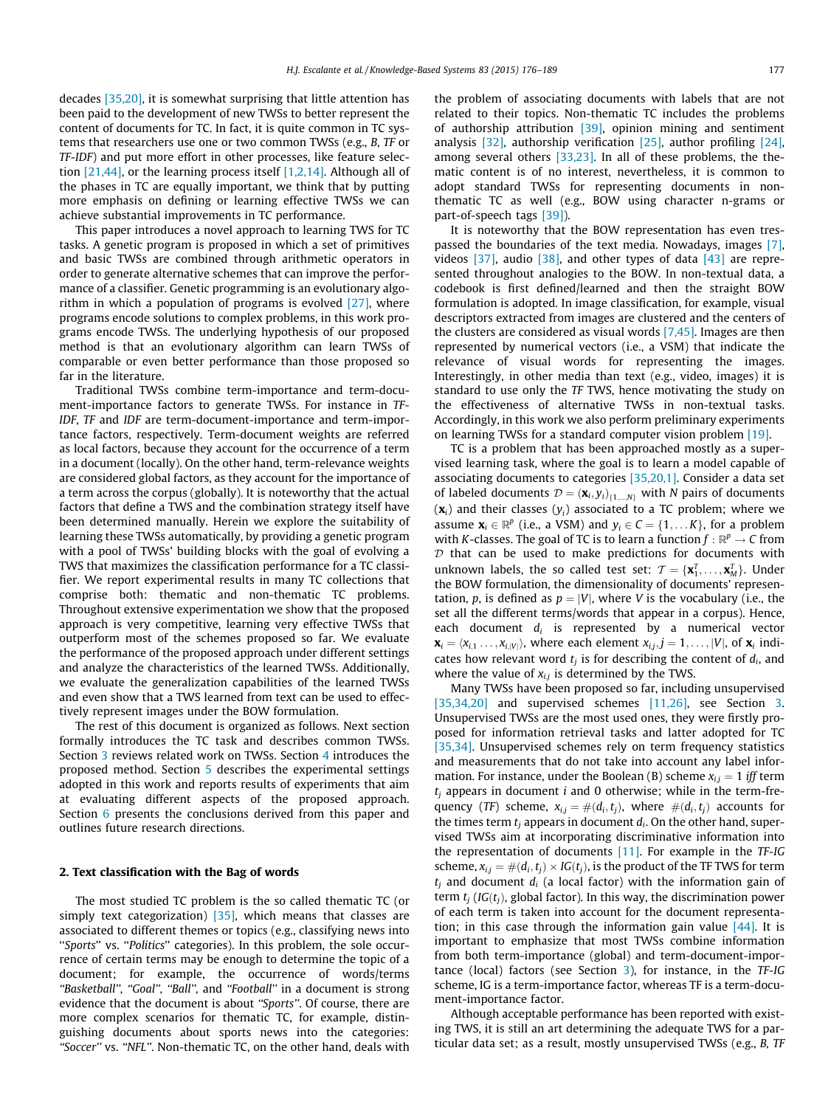decades [\[35,20\],](#page--1-0) it is somewhat surprising that little attention has been paid to the development of new TWSs to better represent the content of documents for TC. In fact, it is quite common in TC systems that researchers use one or two common TWSs (e.g., B, TF or TF-IDF) and put more effort in other processes, like feature selection [\[21,44\]](#page--1-0), or the learning process itself [\[1,2,14\]](#page--1-0). Although all of the phases in TC are equally important, we think that by putting more emphasis on defining or learning effective TWSs we can achieve substantial improvements in TC performance.

This paper introduces a novel approach to learning TWS for TC tasks. A genetic program is proposed in which a set of primitives and basic TWSs are combined through arithmetic operators in order to generate alternative schemes that can improve the performance of a classifier. Genetic programming is an evolutionary algorithm in which a population of programs is evolved  $[27]$ , where programs encode solutions to complex problems, in this work programs encode TWSs. The underlying hypothesis of our proposed method is that an evolutionary algorithm can learn TWSs of comparable or even better performance than those proposed so far in the literature.

Traditional TWSs combine term-importance and term-document-importance factors to generate TWSs. For instance in TF-IDF, TF and IDF are term-document-importance and term-importance factors, respectively. Term-document weights are referred as local factors, because they account for the occurrence of a term in a document (locally). On the other hand, term-relevance weights are considered global factors, as they account for the importance of a term across the corpus (globally). It is noteworthy that the actual factors that define a TWS and the combination strategy itself have been determined manually. Herein we explore the suitability of learning these TWSs automatically, by providing a genetic program with a pool of TWSs' building blocks with the goal of evolving a TWS that maximizes the classification performance for a TC classifier. We report experimental results in many TC collections that comprise both: thematic and non-thematic TC problems. Throughout extensive experimentation we show that the proposed approach is very competitive, learning very effective TWSs that outperform most of the schemes proposed so far. We evaluate the performance of the proposed approach under different settings and analyze the characteristics of the learned TWSs. Additionally, we evaluate the generalization capabilities of the learned TWSs and even show that a TWS learned from text can be used to effectively represent images under the BOW formulation.

The rest of this document is organized as follows. Next section formally introduces the TC task and describes common TWSs. Section [3](#page--1-0) reviews related work on TWSs. Section [4](#page--1-0) introduces the proposed method. Section [5](#page--1-0) describes the experimental settings adopted in this work and reports results of experiments that aim at evaluating different aspects of the proposed approach. Section [6](#page--1-0) presents the conclusions derived from this paper and outlines future research directions.

### 2. Text classification with the Bag of words

The most studied TC problem is the so called thematic TC (or simply text categorization)  $[35]$ , which means that classes are associated to different themes or topics (e.g., classifying news into "Sports" vs. "Politics" categories). In this problem, the sole occurrence of certain terms may be enough to determine the topic of a document; for example, the occurrence of words/terms "Basketball", "Goal", "Ball", and "Football" in a document is strong evidence that the document is about ''Sports''. Of course, there are more complex scenarios for thematic TC, for example, distinguishing documents about sports news into the categories: "Soccer" vs. "NFL". Non-thematic TC, on the other hand, deals with the problem of associating documents with labels that are not related to their topics. Non-thematic TC includes the problems of authorship attribution [\[39\],](#page--1-0) opinion mining and sentiment analysis [\[32\]](#page--1-0), authorship verification [\[25\]](#page--1-0), author profiling [\[24\],](#page--1-0) among several others [\[33,23\].](#page--1-0) In all of these problems, the thematic content is of no interest, nevertheless, it is common to adopt standard TWSs for representing documents in nonthematic TC as well (e.g., BOW using character n-grams or part-of-speech tags [\[39\]](#page--1-0)).

It is noteworthy that the BOW representation has even trespassed the boundaries of the text media. Nowadays, images [\[7\],](#page--1-0) videos  $[37]$ , audio  $[38]$ , and other types of data  $[43]$  are represented throughout analogies to the BOW. In non-textual data, a codebook is first defined/learned and then the straight BOW formulation is adopted. In image classification, for example, visual descriptors extracted from images are clustered and the centers of the clusters are considered as visual words [\[7,45\].](#page--1-0) Images are then represented by numerical vectors (i.e., a VSM) that indicate the relevance of visual words for representing the images. Interestingly, in other media than text (e.g., video, images) it is standard to use only the TF TWS, hence motivating the study on the effectiveness of alternative TWSs in non-textual tasks. Accordingly, in this work we also perform preliminary experiments on learning TWSs for a standard computer vision problem [\[19\]](#page--1-0).

TC is a problem that has been approached mostly as a supervised learning task, where the goal is to learn a model capable of associating documents to categories [\[35,20,1\]](#page--1-0). Consider a data set of labeled documents  $D = (\mathbf{x}_i, y_i)_{\{1,\dots,N\}}$  with N pairs of documents  $(x_i)$  and their classes  $(y_i)$  associated to a TC problem; where we assume  $\mathbf{x}_i \in \mathbb{R}^p$  (i.e., a VSM) and  $y_i \in C = \{1, \dots K\}$ , for a problem with K-classes. The goal of TC is to learn a function  $f : \mathbb{R}^p \to C$  from  $D$  that can be used to make predictions for documents with unknown labels, the so called test set:  $\mathcal{T} = \{ \mathbf{x}_1^T, \ldots, \mathbf{x}_M^T \}$ . Under the BOW formulation, the dimensionality of documents' representation, p, is defined as  $p = |V|$ , where V is the vocabulary (i.e., the set all the different terms/words that appear in a corpus). Hence, each document  $d_i$  is represented by a numerical vector  $\mathbf{x}_i = \langle x_{i,1} \dots, x_{i,|V|} \rangle$ , where each element  $x_{i,j}, j = 1, \dots, |V|$ , of  $\mathbf{x}_i$  indicates how relevant word  $t_j$  is for describing the content of  $d_i$ , and where the value of  $x_{i,j}$  is determined by the TWS.

Many TWSs have been proposed so far, including unsupervised [\[35,34,20\]](#page--1-0) and supervised schemes [\[11,26\],](#page--1-0) see Section [3.](#page--1-0) Unsupervised TWSs are the most used ones, they were firstly proposed for information retrieval tasks and latter adopted for TC [\[35,34\]](#page--1-0). Unsupervised schemes rely on term frequency statistics and measurements that do not take into account any label information. For instance, under the Boolean (B) scheme  $x_{i,j} = 1$  iff term  $t_i$  appears in document i and 0 otherwise; while in the term-frequency (TF) scheme,  $x_{i,j} = \#(d_i,t_j)$ , where  $\#(d_i,t_j)$  accounts for the times term  $t_i$  appears in document  $d_i$ . On the other hand, supervised TWSs aim at incorporating discriminative information into the representation of documents [\[11\].](#page--1-0) For example in the TF-IG scheme,  $x_{i,j} = \#(d_i, t_j) \times \text{IG}(t_j)$ , is the product of the TF TWS for term  $t_i$  and document  $d_i$  (a local factor) with the information gain of term  $t_i$  (IG $(t_i)$ , global factor). In this way, the discrimination power of each term is taken into account for the document representation; in this case through the information gain value  $[44]$ . It is important to emphasize that most TWSs combine information from both term-importance (global) and term-document-importance (local) factors (see Section [3\)](#page--1-0), for instance, in the TF-IG scheme, IG is a term-importance factor, whereas TF is a term-document-importance factor.

Although acceptable performance has been reported with existing TWS, it is still an art determining the adequate TWS for a particular data set; as a result, mostly unsupervised TWSs (e.g., B, TF